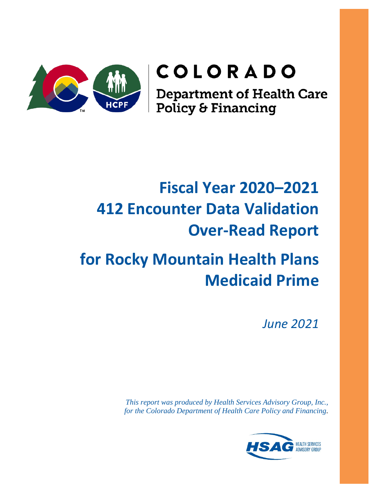

# COLORADO

**Department of Health Care<br>Policy & Financing** 

# **Fiscal Year 2020–2021 412 Encounter Data Validation Over-Read Report**

# **for Rocky Mountain Health Plans Medicaid Prime**

*June 2021*

*This report was produced by Health Services Advisory Group, Inc., for the Colorado Department of Health Care Policy and Financing*.

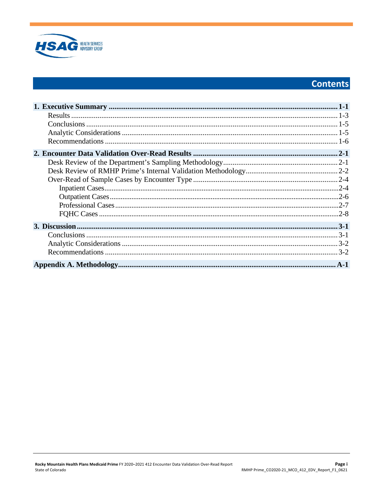

# **Contents**

| $.2 - 4$ |
|----------|
|          |
|          |
|          |
|          |
|          |
|          |
|          |
|          |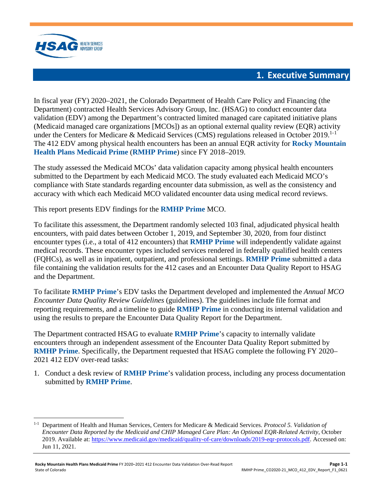

## **1. Executive Summary**

<span id="page-2-0"></span>In fiscal year (FY) 2020–2021, the Colorado Department of Health Care Policy and Financing (the Department) contracted Health Services Advisory Group, Inc. (HSAG) to conduct encounter data validation (EDV) among the Department's contracted limited managed care capitated initiative plans (Medicaid managed care organizations [MCOs]) as an optional external quality review (EQR) activity under the Centers for Medicare & Medicaid Services (CMS) regulations released in October 20[1](#page-2-1)9.<sup>1-1</sup> The 412 EDV among physical health encounters has been an annual EQR activity for **Rocky Mountain Health Plans Medicaid Prime** (**RMHP Prime**) since FY 2018–2019.

The study assessed the Medicaid MCOs' data validation capacity among physical health encounters submitted to the Department by each Medicaid MCO. The study evaluated each Medicaid MCO's compliance with State standards regarding encounter data submission, as well as the consistency and accuracy with which each Medicaid MCO validated encounter data using medical record reviews.

This report presents EDV findings for the **RMHP Prime** MCO.

To facilitate this assessment, the Department randomly selected 103 final, adjudicated physical health encounters, with paid dates between October 1, 2019, and September 30, 2020, from four distinct encounter types (i.e., a total of 412 encounters) that **RMHP Prime** will independently validate against medical records. These encounter types included services rendered in federally qualified health centers (FQHCs), as well as in inpatient, outpatient, and professional settings. **RMHP Prime** submitted a data file containing the validation results for the 412 cases and an Encounter Data Quality Report to HSAG and the Department.

To facilitate **RMHP Prime**'s EDV tasks the Department developed and implemented the *Annual MCO Encounter Data Quality Review Guidelines* (guidelines). The guidelines include file format and reporting requirements, and a timeline to guide **RMHP Prime** in conducting its internal validation and using the results to prepare the Encounter Data Quality Report for the Department.

The Department contracted HSAG to evaluate **RMHP Prime**'s capacity to internally validate encounters through an independent assessment of the Encounter Data Quality Report submitted by **RMHP Prime**. Specifically, the Department requested that HSAG complete the following FY 2020– 2021 412 EDV over-read tasks:

1. Conduct a desk review of **RMHP Prime**'s validation process, including any process documentation submitted by **RMHP Prime**.

<span id="page-2-1"></span><sup>1-1</sup> Department of Health and Human Services, Centers for Medicare & Medicaid Services. *Protocol 5. Validation of Encounter Data Reported by the Medicaid and CHIP Managed Care Plan: An Optional EQR-Related Activity*, October 2019. Available at[: https://www.medicaid.gov/medicaid/quality-of-care/downloads/2019-eqr-protocols.pdf.](https://www.medicaid.gov/medicaid/quality-of-care/downloads/2019-eqr-protocols.pdf) Accessed on: Jun 11, 2021.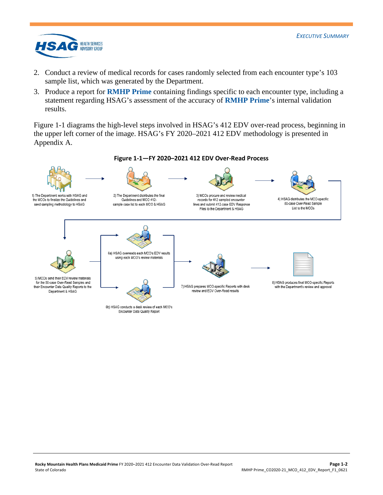

- 2. Conduct a review of medical records for cases randomly selected from each encounter type's 103 sample list, which was generated by the Department.
- 3. Produce a report for **RMHP Prime** containing findings specific to each encounter type, including a statement regarding HSAG's assessment of the accuracy of **RMHP Prime**'s internal validation results.

[Figure 1-1](#page-3-0) diagrams the high-level steps involved in HSAG's 412 EDV over-read process, beginning in the upper left corner of the image. HSAG's FY 2020–2021 412 EDV methodology is presented in Appendix A.

<span id="page-3-0"></span>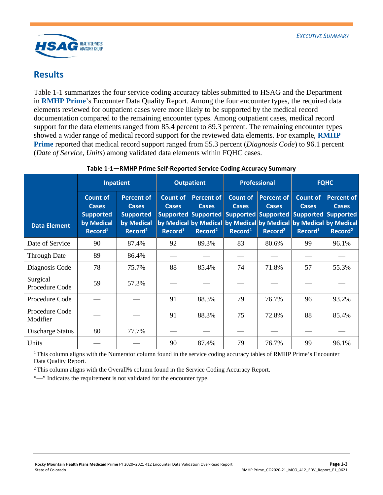

## <span id="page-4-0"></span>**Results**

[Table 1-1](#page-4-1) summarizes the four service coding accuracy tables submitted to HSAG and the Department in **RMHP Prime**'s Encounter Data Quality Report. Among the four encounter types, the required data elements reviewed for outpatient cases were more likely to be supported by the medical record documentation compared to the remaining encounter types. Among outpatient cases, medical record support for the data elements ranged from 85.4 percent to 89.3 percent. The remaining encounter types showed a wider range of medical record support for the reviewed data elements. For example, **RMHP Prime** reported that medical record support ranged from 55.3 percent (*Diagnosis Code*) to 96.1 percent (*Date of Service*, *Units*) among validated data elements within FQHC cases.

<span id="page-4-1"></span>

|                            | <b>Inpatient</b>                                                                         |                                                                                            | <b>Outpatient</b>                                      |                                                   | <b>Professional</b>                                    |                                                                                                                  | <b>FQHC</b>                                            |                                                                                                                               |
|----------------------------|------------------------------------------------------------------------------------------|--------------------------------------------------------------------------------------------|--------------------------------------------------------|---------------------------------------------------|--------------------------------------------------------|------------------------------------------------------------------------------------------------------------------|--------------------------------------------------------|-------------------------------------------------------------------------------------------------------------------------------|
| <b>Data Element</b>        | <b>Count of</b><br><b>Cases</b><br><b>Supported</b><br>by Medical<br>Record <sup>1</sup> | <b>Percent of</b><br><b>Cases</b><br><b>Supported</b><br>by Medical<br>Record <sup>2</sup> | <b>Count of</b><br><b>Cases</b><br>Record <sup>1</sup> | Percent of<br><b>Cases</b><br>Record <sup>2</sup> | <b>Count of</b><br><b>Cases</b><br>Record <sup>1</sup> | Percent of<br><b>Cases</b><br>Supported Supported Supported Supported Supported Supported<br>Record <sup>2</sup> | <b>Count of</b><br><b>Cases</b><br>Record <sup>1</sup> | <b>Percent of</b><br><b>Cases</b><br>by Medical by Medical by Medical by Medical by Medical by Medical<br>Record <sup>2</sup> |
| Date of Service            | 90                                                                                       | 87.4%                                                                                      | 92                                                     | 89.3%                                             | 83                                                     | 80.6%                                                                                                            | 99                                                     | 96.1%                                                                                                                         |
| <b>Through Date</b>        | 89                                                                                       | 86.4%                                                                                      |                                                        |                                                   |                                                        |                                                                                                                  |                                                        |                                                                                                                               |
| Diagnosis Code             | 78                                                                                       | 75.7%                                                                                      | 88                                                     | 85.4%                                             | 74                                                     | 71.8%                                                                                                            | 57                                                     | 55.3%                                                                                                                         |
| Surgical<br>Procedure Code | 59                                                                                       | 57.3%                                                                                      |                                                        |                                                   |                                                        |                                                                                                                  |                                                        |                                                                                                                               |
| Procedure Code             |                                                                                          |                                                                                            | 91                                                     | 88.3%                                             | 79                                                     | 76.7%                                                                                                            | 96                                                     | 93.2%                                                                                                                         |
| Procedure Code<br>Modifier |                                                                                          |                                                                                            | 91                                                     | 88.3%                                             | 75                                                     | 72.8%                                                                                                            | 88                                                     | 85.4%                                                                                                                         |
| Discharge Status           | 80                                                                                       | 77.7%                                                                                      |                                                        |                                                   |                                                        |                                                                                                                  |                                                        |                                                                                                                               |
| Units                      |                                                                                          |                                                                                            | 90                                                     | 87.4%                                             | 79                                                     | 76.7%                                                                                                            | 99                                                     | 96.1%                                                                                                                         |

#### **Table 1-1—RMHP Prime Self-Reported Service Coding Accuracy Summary**

<sup>1</sup> This column aligns with the Numerator column found in the service coding accuracy tables of RMHP Prime's Encounter Data Quality Report.

2 This column aligns with the Overall% column found in the Service Coding Accuracy Report.

"—" Indicates the requirement is not validated for the encounter type.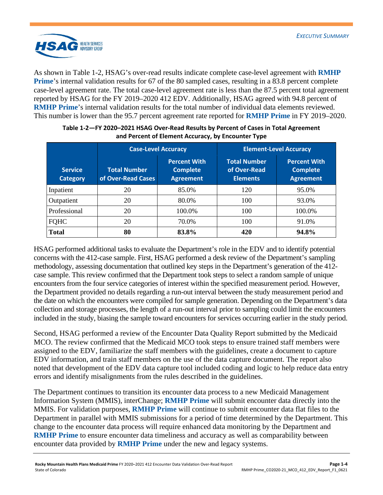

As shown in [Table 1-2,](#page-5-0) HSAG's over-read results indicate complete case-level agreement with **RMHP Prime**'s internal validation results for 67 of the 80 sampled cases, resulting in a 83.8 percent complete case-level agreement rate. The total case-level agreement rate is less than the 87.5 percent total agreement reported by HSAG for the FY 2019–2020 412 EDV. Additionally, HSAG agreed with 94.8 percent of **RMHP Prime**'s internal validation results for the total number of individual data elements reviewed. This number is lower than the 95.7 percent agreement rate reported for **RMHP Prime** in FY 2019–2020.

<span id="page-5-0"></span>

|                                   | <b>Case-Level Accuracy</b>                |                                                            | <b>Element-Level Accuracy</b>                          |                                                            |  |
|-----------------------------------|-------------------------------------------|------------------------------------------------------------|--------------------------------------------------------|------------------------------------------------------------|--|
| <b>Service</b><br><b>Category</b> | <b>Total Number</b><br>of Over-Read Cases | <b>Percent With</b><br><b>Complete</b><br><b>Agreement</b> | <b>Total Number</b><br>of Over-Read<br><b>Elements</b> | <b>Percent With</b><br><b>Complete</b><br><b>Agreement</b> |  |
| Inpatient                         | 20                                        | 85.0%                                                      | 120                                                    | 95.0%                                                      |  |
| Outpatient                        | 20                                        | 80.0%                                                      | 100                                                    | 93.0%                                                      |  |
| Professional                      | 20                                        | 100.0%                                                     | 100                                                    | 100.0%                                                     |  |
| <b>FQHC</b>                       | 20                                        | 70.0%                                                      | 100                                                    | 91.0%                                                      |  |
| <b>Total</b>                      | 80                                        | 83.8%                                                      | 420                                                    | 94.8%                                                      |  |

#### **Table 1-2—FY 2020–2021 HSAG Over-Read Results by Percent of Cases in Total Agreement and Percent of Element Accuracy, by Encounter Type**

HSAG performed additional tasks to evaluate the Department's role in the EDV and to identify potential concerns with the 412-case sample. First, HSAG performed a desk review of the Department's sampling methodology, assessing documentation that outlined key steps in the Department's generation of the 412 case sample. This review confirmed that the Department took steps to select a random sample of unique encounters from the four service categories of interest within the specified measurement period. However, the Department provided no details regarding a run-out interval between the study measurement period and the date on which the encounters were compiled for sample generation. Depending on the Department's data collection and storage processes, the length of a run-out interval prior to sampling could limit the encounters included in the study, biasing the sample toward encounters for services occurring earlier in the study period.

Second, HSAG performed a review of the Encounter Data Quality Report submitted by the Medicaid MCO. The review confirmed that the Medicaid MCO took steps to ensure trained staff members were assigned to the EDV, familiarize the staff members with the guidelines, create a document to capture EDV information, and train staff members on the use of the data capture document. The report also noted that development of the EDV data capture tool included coding and logic to help reduce data entry errors and identify misalignments from the rules described in the guidelines.

The Department continues to transition its encounter data process to a new Medicaid Management Information System (MMIS), interChange; **RMHP Prime** will submit encounter data directly into the MMIS. For validation purposes, **RMHP Prime** will continue to submit encounter data flat files to the Department in parallel with MMIS submissions for a period of time determined by the Department. This change to the encounter data process will require enhanced data monitoring by the Department and **RMHP Prime** to ensure encounter data timeliness and accuracy as well as comparability between encounter data provided by **RMHP Prime** under the new and legacy systems.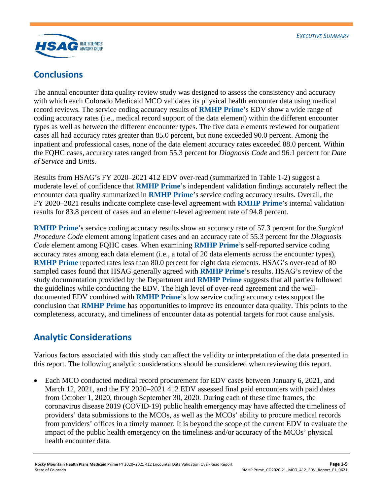



## <span id="page-6-0"></span>**Conclusions**

The annual encounter data quality review study was designed to assess the consistency and accuracy with which each Colorado Medicaid MCO validates its physical health encounter data using medical record reviews. The service coding accuracy results of **RMHP Prime**'s EDV show a wide range of coding accuracy rates (i.e., medical record support of the data element) within the different encounter types as well as between the different encounter types. The five data elements reviewed for outpatient cases all had accuracy rates greater than 85.0 percent, but none exceeded 90.0 percent. Among the inpatient and professional cases, none of the data element accuracy rates exceeded 88.0 percent. Within the FQHC cases, accuracy rates ranged from 55.3 percent for *Diagnosis Code* and 96.1 percent for *Date of Service* and *Units*.

Results from HSAG's FY 2020–2021 412 EDV over-read (summarized in [Table 1-2\)](#page-5-0) suggest a moderate level of confidence that **RMHP Prime**'s independent validation findings accurately reflect the encounter data quality summarized in **RMHP Prime**'s service coding accuracy results. Overall, the FY 2020–2021 results indicate complete case-level agreement with **RMHP Prime**'s internal validation results for 83.8 percent of cases and an element-level agreement rate of 94.8 percent.

**RMHP Prime**'s service coding accuracy results show an accuracy rate of 57.3 percent for the *Surgical Procedure Code* element among inpatient cases and an accuracy rate of 55.3 percent for the *Diagnosis Code* element among FQHC cases. When examining **RMHP Prime**'s self-reported service coding accuracy rates among each data element (i.e., a total of 20 data elements across the encounter types), **RMHP Prime** reported rates less than 80.0 percent for eight data elements. HSAG's over-read of 80 sampled cases found that HSAG generally agreed with **RMHP Prime**'s results. HSAG's review of the study documentation provided by the Department and **RMHP Prime** suggests that all parties followed the guidelines while conducting the EDV. The high level of over-read agreement and the welldocumented EDV combined with **RMHP Prime**'s low service coding accuracy rates support the conclusion that **RMHP Prime** has opportunities to improve its encounter data quality. This points to the completeness, accuracy, and timeliness of encounter data as potential targets for root cause analysis.

## <span id="page-6-1"></span>**Analytic Considerations**

Various factors associated with this study can affect the validity or interpretation of the data presented in this report. The following analytic considerations should be considered when reviewing this report.

• Each MCO conducted medical record procurement for EDV cases between January 6, 2021, and March 12, 2021, and the FY 2020–2021 412 EDV assessed final paid encounters with paid dates from October 1, 2020, through September 30, 2020. During each of these time frames, the coronavirus disease 2019 (COVID-19) public health emergency may have affected the timeliness of providers' data submissions to the MCOs, as well as the MCOs' ability to procure medical records from providers' offices in a timely manner. It is beyond the scope of the current EDV to evaluate the impact of the public health emergency on the timeliness and/or accuracy of the MCOs' physical health encounter data.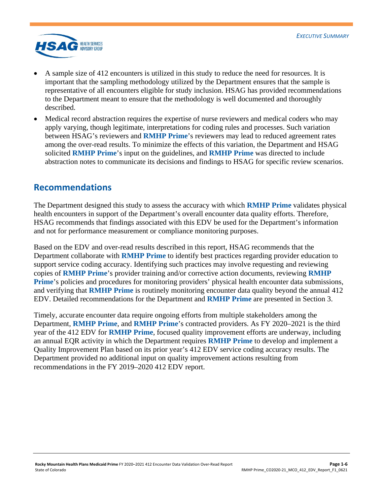

- A sample size of 412 encounters is utilized in this study to reduce the need for resources. It is important that the sampling methodology utilized by the Department ensures that the sample is representative of all encounters eligible for study inclusion. HSAG has provided recommendations to the Department meant to ensure that the methodology is well documented and thoroughly described.
- Medical record abstraction requires the expertise of nurse reviewers and medical coders who may apply varying, though legitimate, interpretations for coding rules and processes. Such variation between HSAG's reviewers and **RMHP Prime**'s reviewers may lead to reduced agreement rates among the over-read results. To minimize the effects of this variation, the Department and HSAG solicited **RMHP Prime**'s input on the guidelines, and **RMHP Prime** was directed to include abstraction notes to communicate its decisions and findings to HSAG for specific review scenarios.

## <span id="page-7-0"></span>**Recommendations**

The Department designed this study to assess the accuracy with which **RMHP Prime** validates physical health encounters in support of the Department's overall encounter data quality efforts. Therefore, HSAG recommends that findings associated with this EDV be used for the Department's information and not for performance measurement or compliance monitoring purposes.

Based on the EDV and over-read results described in this report, HSAG recommends that the Department collaborate with **RMHP Prime** to identify best practices regarding provider education to support service coding accuracy. Identifying such practices may involve requesting and reviewing copies of **RMHP Prime**'s provider training and/or corrective action documents, reviewing **RMHP Prime**'s policies and procedures for monitoring providers' physical health encounter data submissions, and verifying that **RMHP Prime** is routinely monitoring encounter data quality beyond the annual 412 EDV. Detailed recommendations for the Department and **RMHP Prime** are presented in Section 3.

Timely, accurate encounter data require ongoing efforts from multiple stakeholders among the Department, **RMHP Prime**, and **RMHP Prime**'s contracted providers. As FY 2020–2021 is the third year of the 412 EDV for **RMHP Prime**, focused quality improvement efforts are underway, including an annual EQR activity in which the Department requires **RMHP Prime** to develop and implement a Quality Improvement Plan based on its prior year's 412 EDV service coding accuracy results. The Department provided no additional input on quality improvement actions resulting from recommendations in the FY 2019–2020 412 EDV report.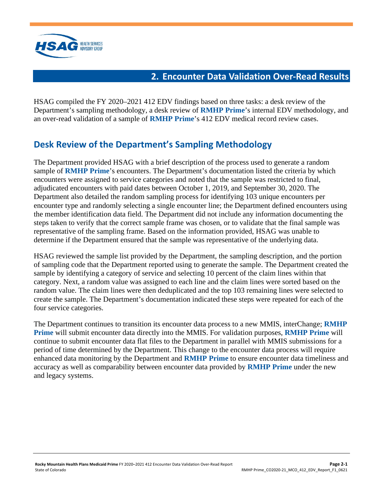

## **2. Encounter Data Validation Over-Read Results**

<span id="page-8-0"></span>HSAG compiled the FY 2020–2021 412 EDV findings based on three tasks: a desk review of the Department's sampling methodology, a desk review of **RMHP Prime**'s internal EDV methodology, and an over-read validation of a sample of **RMHP Prime**'s 412 EDV medical record review cases.

# <span id="page-8-1"></span>**Desk Review of the Department's Sampling Methodology**

The Department provided HSAG with a brief description of the process used to generate a random sample of **RMHP Prime**'s encounters. The Department's documentation listed the criteria by which encounters were assigned to service categories and noted that the sample was restricted to final, adjudicated encounters with paid dates between October 1, 2019, and September 30, 2020. The Department also detailed the random sampling process for identifying 103 unique encounters per encounter type and randomly selecting a single encounter line; the Department defined encounters using the member identification data field. The Department did not include any information documenting the steps taken to verify that the correct sample frame was chosen, or to validate that the final sample was representative of the sampling frame. Based on the information provided, HSAG was unable to determine if the Department ensured that the sample was representative of the underlying data.

HSAG reviewed the sample list provided by the Department, the sampling description, and the portion of sampling code that the Department reported using to generate the sample. The Department created the sample by identifying a category of service and selecting 10 percent of the claim lines within that category. Next, a random value was assigned to each line and the claim lines were sorted based on the random value. The claim lines were then deduplicated and the top 103 remaining lines were selected to create the sample. The Department's documentation indicated these steps were repeated for each of the four service categories.

The Department continues to transition its encounter data process to a new MMIS, interChange; **RMHP Prime** will submit encounter data directly into the MMIS. For validation purposes, **RMHP Prime** will continue to submit encounter data flat files to the Department in parallel with MMIS submissions for a period of time determined by the Department. This change to the encounter data process will require enhanced data monitoring by the Department and **RMHP Prime** to ensure encounter data timeliness and accuracy as well as comparability between encounter data provided by **RMHP Prime** under the new and legacy systems.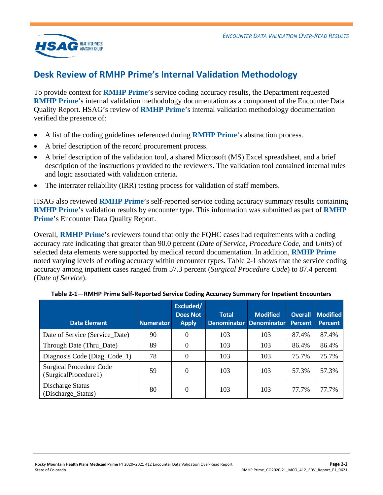

## <span id="page-9-0"></span>**Desk Review of RMHP Prime's Internal Validation Methodology**

To provide context for **RMHP Prime**'s service coding accuracy results, the Department requested **RMHP Prime**'s internal validation methodology documentation as a component of the Encounter Data Quality Report. HSAG's review of **RMHP Prime**'s internal validation methodology documentation verified the presence of:

- A list of the coding guidelines referenced during **RMHP Prime**'s abstraction process.
- A brief description of the record procurement process.
- A brief description of the validation tool, a shared Microsoft (MS) Excel spreadsheet, and a brief description of the instructions provided to the reviewers. The validation tool contained internal rules and logic associated with validation criteria.
- The interrater reliability (IRR) testing process for validation of staff members.

HSAG also reviewed **RMHP Prime**'s self-reported service coding accuracy summary results containing **RMHP Prime**'s validation results by encounter type. This information was submitted as part of **RMHP Prime**'s Encounter Data Quality Report.

Overall, **RMHP Prime**'s reviewers found that only the FQHC cases had requirements with a coding accuracy rate indicating that greater than 90.0 percent (*Date of Service*, *Procedure Code*, and *Units*) of selected data elements were supported by medical record documentation. In addition, **RMHP Prime** noted varying levels of coding accuracy within encounter types. [Table 2-1](#page-9-1) shows that the service coding accuracy among inpatient cases ranged from 57.3 percent (*Surgical Procedure Code*) to 87.4 percent (*Date of Service*).

<span id="page-9-1"></span>

|                                                        |                  | Excluded/                       |                                    |                                       |                           |                                   |
|--------------------------------------------------------|------------------|---------------------------------|------------------------------------|---------------------------------------|---------------------------|-----------------------------------|
| <b>Data Element</b>                                    | <b>Numerator</b> | <b>Does Not</b><br><b>Apply</b> | <b>Total</b><br><b>Denominator</b> | <b>Modified</b><br><b>Denominator</b> | <b>Overall</b><br>Percent | <b>Modified</b><br><b>Percent</b> |
| Date of Service (Service_Date)                         | 90               | $\boldsymbol{0}$                | 103                                | 103                                   | 87.4%                     | 87.4%                             |
| Through Date (Thru_Date)                               | 89               | $\theta$                        | 103                                | 103                                   | 86.4%                     | 86.4%                             |
| Diagnosis Code (Diag_Code_1)                           | 78               | $\theta$                        | 103                                | 103                                   | 75.7%                     | 75.7%                             |
| <b>Surgical Procedure Code</b><br>(SurgicalProcedure1) | 59               | $\theta$                        | 103                                | 103                                   | 57.3%                     | 57.3%                             |
| Discharge Status<br>(Discharge_Status)                 | 80               | 0                               | 103                                | 103                                   | 77.7%                     | 77.7%                             |

**Table 2-1—RMHP Prime Self-Reported Service Coding Accuracy Summary for Inpatient Encounters**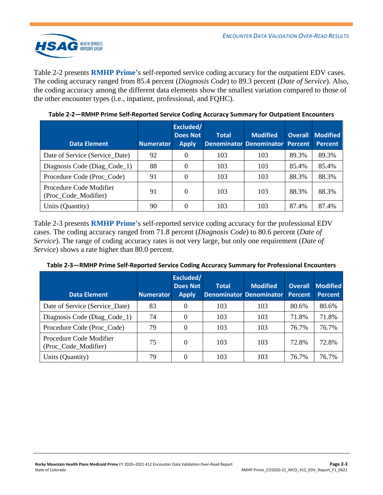

[Table 2-2](#page-10-0) presents **RMHP Prime**'s self-reported service coding accuracy for the outpatient EDV cases. The coding accuracy ranged from 85.4 percent (*Diagnosis Code*) to 89.3 percent (*Date of Service*). Also, the coding accuracy among the different data elements show the smallest variation compared to those of the other encounter types (i.e., inpatient, professional, and FQHC).

<span id="page-10-0"></span>

| <b>Data Element</b>                             | <b>Numerator</b> | Excluded/<br><b>Does Not</b><br><b>Apply</b> | <b>Total</b> | <b>Modified</b><br>Denominator Denominator Percent |       | <b>Overall Modified</b><br><b>Percent</b> |
|-------------------------------------------------|------------------|----------------------------------------------|--------------|----------------------------------------------------|-------|-------------------------------------------|
| Date of Service (Service Date)                  | 92               | $\Omega$                                     | 103          | 103                                                | 89.3% | 89.3%                                     |
| Diagnosis Code (Diag_Code_1)                    | 88               | 0                                            | 103          | 103                                                | 85.4% | 85.4%                                     |
| Procedure Code (Proc_Code)                      | 91               | 0                                            | 103          | 103                                                | 88.3% | 88.3%                                     |
| Procedure Code Modifier<br>(Proc_Code_Modifier) | 91               | $\Omega$                                     | 103          | 103                                                | 88.3% | 88.3%                                     |
| Units (Quantity)                                | 90               | 0                                            | 103          | 103                                                | 87.4% | 87.4%                                     |

**Table 2-2—RMHP Prime Self-Reported Service Coding Accuracy Summary for Outpatient Encounters**

[Table 2-3](#page-10-1) presents **RMHP Prime**'s self-reported service coding accuracy for the professional EDV cases. The coding accuracy ranged from 71.8 percent (*Diagnosis Code*) to 80.6 percent (*Date of Service*). The range of coding accuracy rates is not very large, but only one requirement (*Date of Service*) shows a rate higher than 80.0 percent.

| <b>Data Element</b>                             | <b>Numerator</b> | Excluded/<br><b>Does Not</b><br><b>Apply</b> | <b>Total</b> | <b>Modified</b><br><b>Denominator Denominator</b> | <b>Overall</b><br><b>Percent</b> | <b>Modified</b><br><b>Percent</b> |
|-------------------------------------------------|------------------|----------------------------------------------|--------------|---------------------------------------------------|----------------------------------|-----------------------------------|
| Date of Service (Service Date)                  | 83               |                                              | 103          | 103                                               | 80.6%                            | 80.6%                             |
| Diagnosis Code (Diag_Code_1)                    | 74               |                                              | 103          | 103                                               | 71.8%                            | 71.8%                             |
| Procedure Code (Proc_Code)                      | 79               |                                              | 103          | 103                                               | 76.7%                            | 76.7%                             |
| Procedure Code Modifier<br>(Proc_Code_Modifier) | 75               |                                              | 103          | 103                                               | 72.8%                            | 72.8%                             |
| Units (Quantity)                                | 79               |                                              | 103          | 103                                               | 76.7%                            | 76.7%                             |

<span id="page-10-1"></span>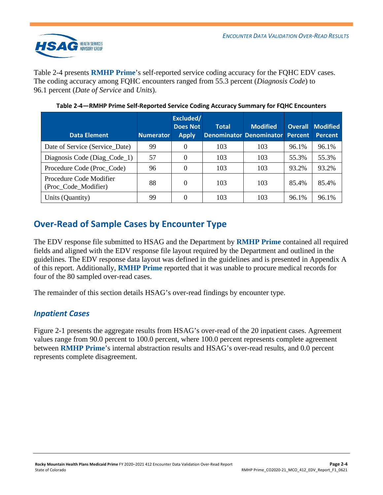

[Table 2-4](#page-11-2) presents **RMHP Prime**'s self-reported service coding accuracy for the FQHC EDV cases. The coding accuracy among FQHC encounters ranged from 55.3 percent (*Diagnosis Code*) to 96.1 percent (*Date of Service* and *Units*).

<span id="page-11-2"></span>

| <b>Data Element</b>                             | <b>Numerator</b> | Excluded/<br><b>Does Not</b><br><b>Apply</b> | <b>Total</b> | <b>Modified</b><br><b>Denominator Denominator</b> | <b>Percent</b> | <b>Overall Modified</b><br><b>Percent</b> |
|-------------------------------------------------|------------------|----------------------------------------------|--------------|---------------------------------------------------|----------------|-------------------------------------------|
| Date of Service (Service Date)                  | 99               |                                              | 103          | 103                                               | 96.1%          | 96.1%                                     |
| Diagnosis Code (Diag_Code_1)                    | 57               |                                              | 103          | 103                                               | 55.3%          | 55.3%                                     |
| Procedure Code (Proc_Code)                      | 96               | $\Omega$                                     | 103          | 103                                               | 93.2%          | 93.2%                                     |
| Procedure Code Modifier<br>(Proc_Code_Modifier) | 88               | $\Omega$                                     | 103          | 103                                               | 85.4%          | 85.4%                                     |
| Units (Quantity)                                | 99               |                                              | 103          | 103                                               | 96.1%          | 96.1%                                     |

**Table 2-4—RMHP Prime Self-Reported Service Coding Accuracy Summary for FQHC Encounters**

## <span id="page-11-0"></span>**Over-Read of Sample Cases by Encounter Type**

The EDV response file submitted to HSAG and the Department by **RMHP Prime** contained all required fields and aligned with the EDV response file layout required by the Department and outlined in the guidelines. The EDV response data layout was defined in the guidelines and is presented in Appendix A of this report. Additionally, **RMHP Prime** reported that it was unable to procure medical records for four of the 80 sampled over-read cases.

The remainder of this section details HSAG's over-read findings by encounter type.

### <span id="page-11-1"></span>*Inpatient Cases*

[Figure 2-1](#page-12-0) presents the aggregate results from HSAG's over-read of the 20 inpatient cases. Agreement values range from 90.0 percent to 100.0 percent, where 100.0 percent represents complete agreement between **RMHP Prime**'s internal abstraction results and HSAG's over-read results, and 0.0 percent represents complete disagreement.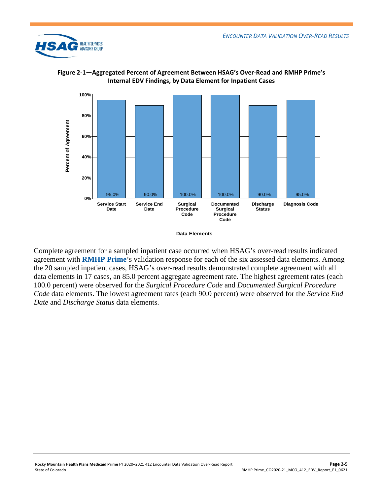



<span id="page-12-0"></span>**Figure 2-1—Aggregated Percent of Agreement Between HSAG's Over-Read and RMHP Prime's Internal EDV Findings, by Data Element for Inpatient Cases**

Complete agreement for a sampled inpatient case occurred when HSAG's over-read results indicated agreement with **RMHP Prime**'s validation response for each of the six assessed data elements. Among the 20 sampled inpatient cases, HSAG's over-read results demonstrated complete agreement with all data elements in 17 cases, an 85.0 percent aggregate agreement rate. The highest agreement rates (each 100.0 percent) were observed for the *Surgical Procedure Code* and *Documented Surgical Procedure Code* data elements. The lowest agreement rates (each 90.0 percent) were observed for the *Service End Date* and *Discharge Status* data elements.

**Data Elements**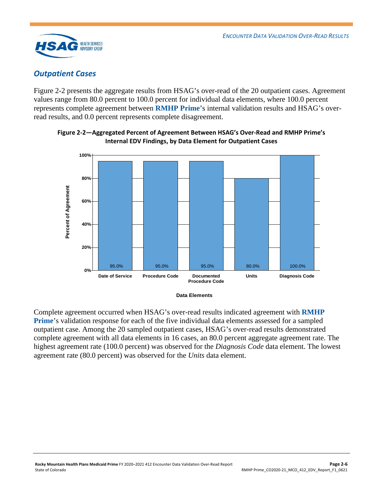

## <span id="page-13-0"></span>*Outpatient Cases*

[Figure 2-2](#page-13-1) presents the aggregate results from HSAG's over-read of the 20 outpatient cases. Agreement values range from 80.0 percent to 100.0 percent for individual data elements, where 100.0 percent represents complete agreement between **RMHP Prime**'s internal validation results and HSAG's overread results, and 0.0 percent represents complete disagreement.



<span id="page-13-1"></span>**Figure 2-2—Aggregated Percent of Agreement Between HSAG's Over-Read and RMHP Prime's Internal EDV Findings, by Data Element for Outpatient Cases**

**Data Elements** 

Complete agreement occurred when HSAG's over-read results indicated agreement with **RMHP Prime**'s validation response for each of the five individual data elements assessed for a sampled outpatient case. Among the 20 sampled outpatient cases, HSAG's over-read results demonstrated complete agreement with all data elements in 16 cases, an 80.0 percent aggregate agreement rate. The highest agreement rate (100.0 percent) was observed for the *Diagnosis Code* data element. The lowest agreement rate (80.0 percent) was observed for the *Units* data element.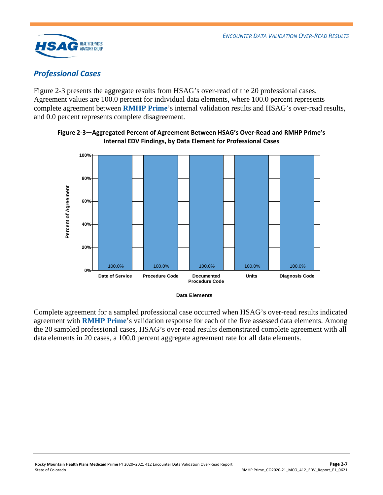

## <span id="page-14-0"></span>*Professional Cases*

[Figure 2-3](#page-14-1) presents the aggregate results from HSAG's over-read of the 20 professional cases. Agreement values are 100.0 percent for individual data elements, where 100.0 percent represents complete agreement between **RMHP Prime**'s internal validation results and HSAG's over-read results, and 0.0 percent represents complete disagreement.



<span id="page-14-1"></span>**Figure 2-3—Aggregated Percent of Agreement Between HSAG's Over-Read and RMHP Prime's Internal EDV Findings, by Data Element for Professional Cases**

**Data Elements** 

Complete agreement for a sampled professional case occurred when HSAG's over-read results indicated agreement with **RMHP Prime**'s validation response for each of the five assessed data elements. Among the 20 sampled professional cases, HSAG's over-read results demonstrated complete agreement with all data elements in 20 cases, a 100.0 percent aggregate agreement rate for all data elements*.*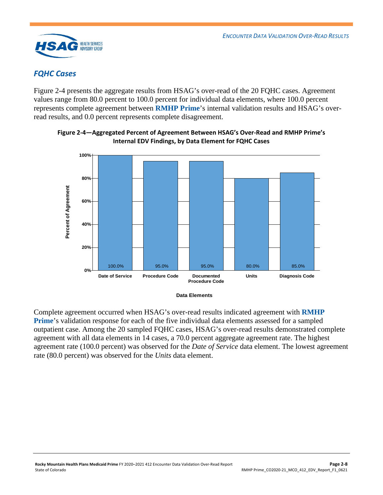

## <span id="page-15-0"></span>*FQHC Cases*

[Figure 2-4](#page-15-1) presents the aggregate results from HSAG's over-read of the 20 FQHC cases. Agreement values range from 80.0 percent to 100.0 percent for individual data elements, where 100.0 percent represents complete agreement between **RMHP Prime**'s internal validation results and HSAG's overread results, and 0.0 percent represents complete disagreement.



<span id="page-15-1"></span>

**Data Elements** 

Complete agreement occurred when HSAG's over-read results indicated agreement with **RMHP Prime**'s validation response for each of the five individual data elements assessed for a sampled outpatient case. Among the 20 sampled FQHC cases, HSAG's over-read results demonstrated complete agreement with all data elements in 14 cases, a 70.0 percent aggregate agreement rate. The highest agreement rate (100.0 percent) was observed for the *Date of Service* data element. The lowest agreement rate (80.0 percent) was observed for the *Units* data element.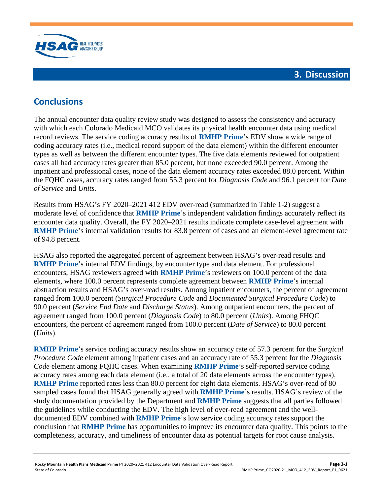

# <span id="page-16-1"></span><span id="page-16-0"></span>**Conclusions**

The annual encounter data quality review study was designed to assess the consistency and accuracy with which each Colorado Medicaid MCO validates its physical health encounter data using medical record reviews. The service coding accuracy results of **RMHP Prime**'s EDV show a wide range of coding accuracy rates (i.e., medical record support of the data element) within the different encounter types as well as between the different encounter types. The five data elements reviewed for outpatient cases all had accuracy rates greater than 85.0 percent, but none exceeded 90.0 percent. Among the inpatient and professional cases, none of the data element accuracy rates exceeded 88.0 percent. Within the FQHC cases, accuracy rates ranged from 55.3 percent for *Diagnosis Code* and 96.1 percent for *Date of Service* and *Units*.

Results from HSAG's FY 2020–2021 412 EDV over-read (summarized in [Table 1-2\)](#page-5-0) suggest a moderate level of confidence that **RMHP Prime**'s independent validation findings accurately reflect its encounter data quality. Overall, the FY 2020–2021 results indicate complete case-level agreement with **RMHP Prime**'s internal validation results for 83.8 percent of cases and an element-level agreement rate of 94.8 percent.

HSAG also reported the aggregated percent of agreement between HSAG's over-read results and **RMHP Prime**'s internal EDV findings, by encounter type and data element. For professional encounters, HSAG reviewers agreed with **RMHP Prime**'s reviewers on 100.0 percent of the data elements, where 100.0 percent represents complete agreement between **RMHP Prime**'s internal abstraction results and HSAG's over-read results. Among inpatient encounters, the percent of agreement ranged from 100.0 percent (*Surgical Procedure Code* and *Documented Surgical Procedure Code*) to 90.0 percent (*Service End Date* and *Discharge Status*). Among outpatient encounters, the percent of agreement ranged from 100.0 percent (*Diagnosis Code*) to 80.0 percent (*Units*). Among FHQC encounters, the percent of agreement ranged from 100.0 percent (*Date of Service*) to 80.0 percent (*Units*).

**RMHP Prime**'s service coding accuracy results show an accuracy rate of 57.3 percent for the *Surgical Procedure Code* element among inpatient cases and an accuracy rate of 55.3 percent for the *Diagnosis Code* element among FQHC cases. When examining **RMHP Prime**'s self-reported service coding accuracy rates among each data element (i.e., a total of 20 data elements across the encounter types), **RMHP Prime** reported rates less than 80.0 percent for eight data elements. HSAG's over-read of 80 sampled cases found that HSAG generally agreed with **RMHP Prime**'s results. HSAG's review of the study documentation provided by the Department and **RMHP Prime** suggests that all parties followed the guidelines while conducting the EDV. The high level of over-read agreement and the welldocumented EDV combined with **RMHP Prime**'s low service coding accuracy rates support the conclusion that **RMHP Prime** has opportunities to improve its encounter data quality. This points to the completeness, accuracy, and timeliness of encounter data as potential targets for root cause analysis.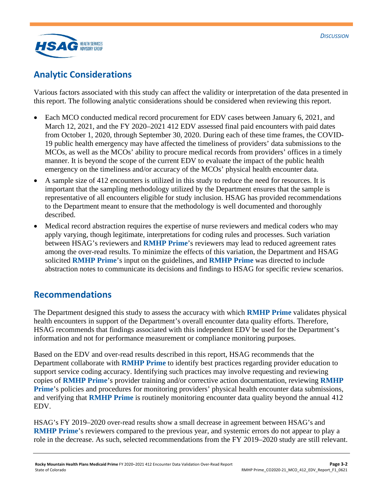

# <span id="page-17-0"></span>**Analytic Considerations**

Various factors associated with this study can affect the validity or interpretation of the data presented in this report. The following analytic considerations should be considered when reviewing this report.

- Each MCO conducted medical record procurement for EDV cases between January 6, 2021, and March 12, 2021, and the FY 2020–2021 412 EDV assessed final paid encounters with paid dates from October 1, 2020, through September 30, 2020. During each of these time frames, the COVID-19 public health emergency may have affected the timeliness of providers' data submissions to the MCOs, as well as the MCOs' ability to procure medical records from providers' offices in a timely manner. It is beyond the scope of the current EDV to evaluate the impact of the public health emergency on the timeliness and/or accuracy of the MCOs' physical health encounter data.
- A sample size of 412 encounters is utilized in this study to reduce the need for resources. It is important that the sampling methodology utilized by the Department ensures that the sample is representative of all encounters eligible for study inclusion. HSAG has provided recommendations to the Department meant to ensure that the methodology is well documented and thoroughly described.
- Medical record abstraction requires the expertise of nurse reviewers and medical coders who may apply varying, though legitimate, interpretations for coding rules and processes. Such variation between HSAG's reviewers and **RMHP Prime**'s reviewers may lead to reduced agreement rates among the over-read results. To minimize the effects of this variation, the Department and HSAG solicited **RMHP Prime**'s input on the guidelines, and **RMHP Prime** was directed to include abstraction notes to communicate its decisions and findings to HSAG for specific review scenarios.

## <span id="page-17-1"></span>**Recommendations**

The Department designed this study to assess the accuracy with which **RMHP Prime** validates physical health encounters in support of the Department's overall encounter data quality efforts. Therefore, HSAG recommends that findings associated with this independent EDV be used for the Department's information and not for performance measurement or compliance monitoring purposes.

Based on the EDV and over-read results described in this report, HSAG recommends that the Department collaborate with **RMHP Prime** to identify best practices regarding provider education to support service coding accuracy. Identifying such practices may involve requesting and reviewing copies of **RMHP Prime**'s provider training and/or corrective action documentation, reviewing **RMHP Prime**'s policies and procedures for monitoring providers' physical health encounter data submissions, and verifying that **RMHP Prime** is routinely monitoring encounter data quality beyond the annual 412 EDV.

HSAG's FY 2019–2020 over-read results show a small decrease in agreement between HSAG's and **RMHP Prime**'s reviewers compared to the previous year, and systemic errors do not appear to play a role in the decrease. As such, selected recommendations from the FY 2019–2020 study are still relevant.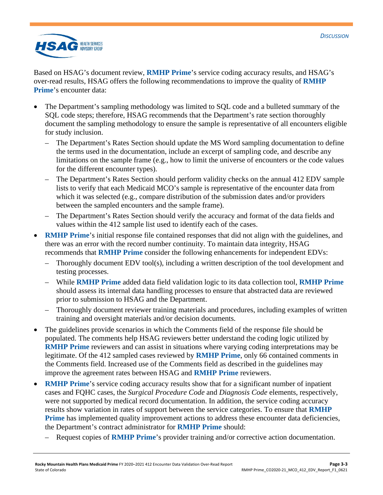

Based on HSAG's document review, **RMHP Prime**'s service coding accuracy results, and HSAG's over-read results, HSAG offers the following recommendations to improve the quality of **RMHP Prime**'s encounter data:

- The Department's sampling methodology was limited to SQL code and a bulleted summary of the SQL code steps; therefore, HSAG recommends that the Department's rate section thoroughly document the sampling methodology to ensure the sample is representative of all encounters eligible for study inclusion.
	- The Department's Rates Section should update the MS Word sampling documentation to define the terms used in the documentation, include an excerpt of sampling code, and describe any limitations on the sample frame (e.g., how to limit the universe of encounters or the code values for the different encounter types).
	- The Department's Rates Section should perform validity checks on the annual 412 EDV sample lists to verify that each Medicaid MCO's sample is representative of the encounter data from which it was selected (e.g., compare distribution of the submission dates and/or providers between the sampled encounters and the sample frame).
	- The Department's Rates Section should verify the accuracy and format of the data fields and values within the 412 sample list used to identify each of the cases.
- **RMHP Prime's** initial response file contained responses that did not align with the guidelines, and there was an error with the record number continuity. To maintain data integrity, HSAG recommends that **RMHP Prime** consider the following enhancements for independent EDVs:
	- Thoroughly document EDV tool(s), including a written description of the tool development and testing processes.
	- While **RMHP Prime** added data field validation logic to its data collection tool, **RMHP Prime** should assess its internal data handling processes to ensure that abstracted data are reviewed prior to submission to HSAG and the Department.
	- Thoroughly document reviewer training materials and procedures, including examples of written training and oversight materials and/or decision documents.
- The guidelines provide scenarios in which the Comments field of the response file should be populated. The comments help HSAG reviewers better understand the coding logic utilized by **RMHP Prime** reviewers and can assist in situations where varying coding interpretations may be legitimate. Of the 412 sampled cases reviewed by **RMHP Prime**, only 66 contained comments in the Comments field. Increased use of the Comments field as described in the guidelines may improve the agreement rates between HSAG and **RMHP Prime** reviewers.
- **RMHP Prime**'s service coding accuracy results show that for a significant number of inpatient cases and FQHC cases, the *Surgical Procedure Code* and *Diagnosis Code* elements, respectively, were not supported by medical record documentation. In addition, the service coding accuracy results show variation in rates of support between the service categories. To ensure that **RMHP Prime** has implemented quality improvement actions to address these encounter data deficiencies, the Department's contract administrator for **RMHP Prime** should:
	- Request copies of **RMHP Prime**'s provider training and/or corrective action documentation.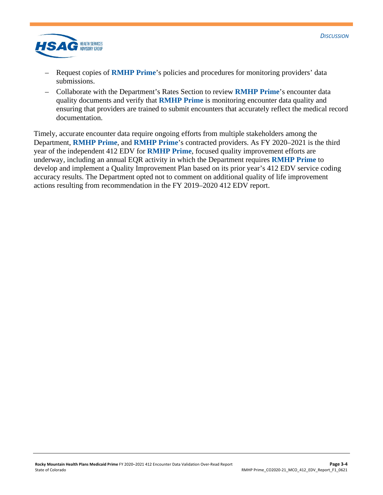

- Request copies of **RMHP Prime**'s policies and procedures for monitoring providers' data submissions.
- Collaborate with the Department's Rates Section to review **RMHP Prime**'s encounter data quality documents and verify that **RMHP Prime** is monitoring encounter data quality and ensuring that providers are trained to submit encounters that accurately reflect the medical record documentation.

Timely, accurate encounter data require ongoing efforts from multiple stakeholders among the Department, **RMHP Prime**, and **RMHP Prime**'s contracted providers. As FY 2020–2021 is the third year of the independent 412 EDV for **RMHP Prime**, focused quality improvement efforts are underway, including an annual EQR activity in which the Department requires **RMHP Prime** to develop and implement a Quality Improvement Plan based on its prior year's 412 EDV service coding accuracy results. The Department opted not to comment on additional quality of life improvement actions resulting from recommendation in the FY 2019–2020 412 EDV report.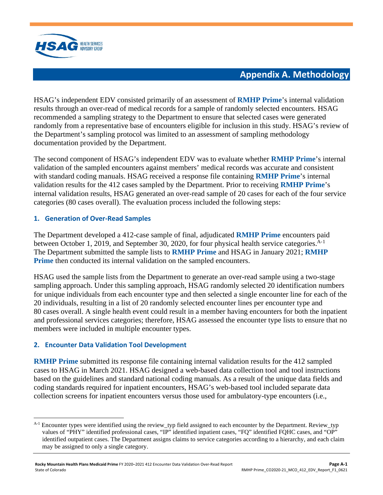

# **Appendix A. Methodology**

<span id="page-20-0"></span>HSAG's independent EDV consisted primarily of an assessment of **RMHP Prime**'s internal validation results through an over-read of medical records for a sample of randomly selected encounters. HSAG recommended a sampling strategy to the Department to ensure that selected cases were generated randomly from a representative base of encounters eligible for inclusion in this study. HSAG's review of the Department's sampling protocol was limited to an assessment of sampling methodology documentation provided by the Department.

The second component of HSAG's independent EDV was to evaluate whether **RMHP Prime**'s internal validation of the sampled encounters against members' medical records was accurate and consistent with standard coding manuals. HSAG received a response file containing **RMHP Prime**'s internal validation results for the 412 cases sampled by the Department. Prior to receiving **RMHP Prime**'s internal validation results, HSAG generated an over-read sample of 20 cases for each of the four service categories (80 cases overall). The evaluation process included the following steps:

#### **1. Generation of Over-Read Samples**

The Department developed a 412-case sample of final, adjudicated **RMHP Prime** encounters paid between October [1](#page-20-1), 2019, and September 30, 2020, for four physical health service categories.<sup>A-1</sup> The Department submitted the sample lists to **RMHP Prime** and HSAG in January 2021; **RMHP Prime** then conducted its internal validation on the sampled encounters.

HSAG used the sample lists from the Department to generate an over-read sample using a two-stage sampling approach. Under this sampling approach, HSAG randomly selected 20 identification numbers for unique individuals from each encounter type and then selected a single encounter line for each of the 20 individuals, resulting in a list of 20 randomly selected encounter lines per encounter type and 80 cases overall. A single health event could result in a member having encounters for both the inpatient and professional services categories; therefore, HSAG assessed the encounter type lists to ensure that no members were included in multiple encounter types.

#### **2. Encounter Data Validation Tool Development**

**RMHP Prime** submitted its response file containing internal validation results for the 412 sampled cases to HSAG in March 2021. HSAG designed a web-based data collection tool and tool instructions based on the guidelines and standard national coding manuals. As a result of the unique data fields and coding standards required for inpatient encounters, HSAG's web-based tool included separate data collection screens for inpatient encounters versus those used for ambulatory-type encounters (i.e.,

<span id="page-20-1"></span><sup>&</sup>lt;sup>A-1</sup> Encounter types were identified using the review\_typ field assigned to each encounter by the Department. Review\_typ values of "PHY" identified professional cases, "IP" identified inpatient cases, "FQ" identified FQHC cases, and "OP" identified outpatient cases. The Department assigns claims to service categories according to a hierarchy, and each claim may be assigned to only a single category.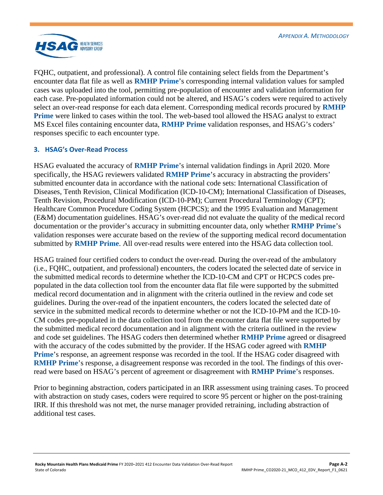

FQHC, outpatient, and professional). A control file containing select fields from the Department's encounter data flat file as well as **RMHP Prime**'s corresponding internal validation values for sampled cases was uploaded into the tool, permitting pre-population of encounter and validation information for each case. Pre-populated information could not be altered, and HSAG's coders were required to actively select an over-read response for each data element. Corresponding medical records procured by **RMHP Prime** were linked to cases within the tool. The web-based tool allowed the HSAG analyst to extract MS Excel files containing encounter data, **RMHP Prime** validation responses, and HSAG's coders' responses specific to each encounter type.

#### **3. HSAG's Over-Read Process**

HSAG evaluated the accuracy of **RMHP Prime**'s internal validation findings in April 2020. More specifically, the HSAG reviewers validated **RMHP Prime**'s accuracy in abstracting the providers' submitted encounter data in accordance with the national code sets: International Classification of Diseases, Tenth Revision, Clinical Modification (ICD-10-CM); International Classification of Diseases, Tenth Revision, Procedural Modification (ICD-10-PM); Current Procedural Terminology (CPT); Healthcare Common Procedure Coding System (HCPCS); and the 1995 Evaluation and Management (E&M) documentation guidelines. HSAG's over-read did not evaluate the quality of the medical record documentation or the provider's accuracy in submitting encounter data, only whether **RMHP Prime**'s validation responses were accurate based on the review of the supporting medical record documentation submitted by **RMHP Prime**. All over-read results were entered into the HSAG data collection tool.

HSAG trained four certified coders to conduct the over-read. During the over-read of the ambulatory (i.e., FQHC, outpatient, and professional) encounters, the coders located the selected date of service in the submitted medical records to determine whether the ICD-10-CM and CPT or HCPCS codes prepopulated in the data collection tool from the encounter data flat file were supported by the submitted medical record documentation and in alignment with the criteria outlined in the review and code set guidelines. During the over-read of the inpatient encounters, the coders located the selected date of service in the submitted medical records to determine whether or not the ICD-10-PM and the ICD-10- CM codes pre-populated in the data collection tool from the encounter data flat file were supported by the submitted medical record documentation and in alignment with the criteria outlined in the review and code set guidelines. The HSAG coders then determined whether **RMHP Prime** agreed or disagreed with the accuracy of the codes submitted by the provider. If the HSAG coder agreed with **RMHP Prime**'s response, an agreement response was recorded in the tool. If the HSAG coder disagreed with **RMHP Prime**'s response, a disagreement response was recorded in the tool. The findings of this overread were based on HSAG's percent of agreement or disagreement with **RMHP Prime**'s responses.

Prior to beginning abstraction, coders participated in an IRR assessment using training cases. To proceed with abstraction on study cases, coders were required to score 95 percent or higher on the post-training IRR. If this threshold was not met, the nurse manager provided retraining, including abstraction of additional test cases.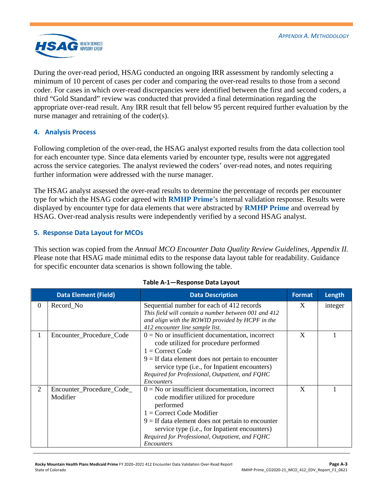

During the over-read period, HSAG conducted an ongoing IRR assessment by randomly selecting a minimum of 10 percent of cases per coder and comparing the over-read results to those from a second coder. For cases in which over-read discrepancies were identified between the first and second coders, a third "Gold Standard" review was conducted that provided a final determination regarding the appropriate over-read result. Any IRR result that fell below 95 percent required further evaluation by the nurse manager and retraining of the coder(s).

#### **4. Analysis Process**

Following completion of the over-read, the HSAG analyst exported results from the data collection tool for each encounter type. Since data elements varied by encounter type, results were not aggregated across the service categories. The analyst reviewed the coders' over-read notes, and notes requiring further information were addressed with the nurse manager.

The HSAG analyst assessed the over-read results to determine the percentage of records per encounter type for which the HSAG coder agreed with **RMHP Prime**'s internal validation response. Results were displayed by encounter type for data elements that were abstracted by **RMHP Prime** and overread by HSAG. Over-read analysis results were independently verified by a second HSAG analyst.

#### **5. Response Data Layout for MCOs**

This section was copied from the *Annual MCO Encounter Data Quality Review Guidelines, Appendix II.*  Please note that HSAG made minimal edits to the response data layout table for readability. Guidance for specific encounter data scenarios is shown following the table.

<span id="page-22-0"></span>

|          | <b>Data Element (Field)</b>           | <b>Data Description</b>                                                                                                                                                                                                                                                                                               | <b>Format</b> | Length  |
|----------|---------------------------------------|-----------------------------------------------------------------------------------------------------------------------------------------------------------------------------------------------------------------------------------------------------------------------------------------------------------------------|---------------|---------|
| $\theta$ | Record No                             | Sequential number for each of 412 records<br>This field will contain a number between 001 and 412<br>and align with the ROWID provided by HCPF in the<br>412 encounter line sample list.                                                                                                                              | X             | integer |
|          | Encounter_Procedure_Code              | $0 = No$ or insufficient documentation, incorrect<br>code utilized for procedure performed<br>$1 =$ Correct Code<br>$9 =$ If data element does not pertain to encounter<br>service type (i.e., for Inpatient encounters)<br>Required for Professional, Outpatient, and FQHC<br>Encounters                             | X             |         |
| 2        | Encounter_Procedure_Code_<br>Modifier | $0 = No$ or insufficient documentation, incorrect<br>code modifier utilized for procedure<br>performed<br>$1 =$ Correct Code Modifier<br>$9 =$ If data element does not pertain to encounter<br>service type (i.e., for Inpatient encounters)<br>Required for Professional, Outpatient, and FQHC<br><i>Encounters</i> | X             |         |

#### **Table A-1—Response Data Layout**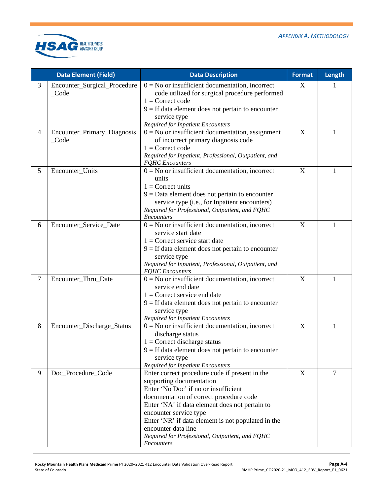

|        | <b>Data Element (Field)</b>                     | <b>Data Description</b>                                                                                                                                                                                                                                                                                                                                                                        | <b>Format</b> | Length |
|--------|-------------------------------------------------|------------------------------------------------------------------------------------------------------------------------------------------------------------------------------------------------------------------------------------------------------------------------------------------------------------------------------------------------------------------------------------------------|---------------|--------|
| 3      | Encounter_Surgical_Procedure<br>$\_\text{Code}$ | $0 = No$ or insufficient documentation, incorrect<br>code utilized for surgical procedure performed<br>$1 =$ Correct code<br>$9 =$ If data element does not pertain to encounter<br>service type<br><b>Required for Inpatient Encounters</b>                                                                                                                                                   | X             |        |
| 4      | Encounter_Primary_Diagnosis<br>$\_\text{Code}$  | $0 = No$ or insufficient documentation, assignment<br>of incorrect primary diagnosis code<br>$1 =$ Correct code<br>Required for Inpatient, Professional, Outpatient, and<br><b>FQHC</b> Encounters                                                                                                                                                                                             | X             | 1      |
| 5      | Encounter_Units                                 | $0 = No$ or insufficient documentation, incorrect<br>units<br>$1 =$ Correct units<br>$9 = Data$ element does not pertain to encounter<br>service type (i.e., for Inpatient encounters)<br>Required for Professional, Outpatient, and FQHC<br>Encounters                                                                                                                                        | X             | 1      |
| 6      | Encounter_Service_Date                          | $0 = No$ or insufficient documentation, incorrect<br>service start date<br>$1 =$ Correct service start date<br>$9 =$ If data element does not pertain to encounter<br>service type<br>Required for Inpatient, Professional, Outpatient, and<br><b>FQHC</b> Encounters                                                                                                                          | X             | 1      |
| $\tau$ | Encounter_Thru_Date                             | $0 = No$ or insufficient documentation, incorrect<br>service end date<br>$1 =$ Correct service end date<br>$9 =$ If data element does not pertain to encounter<br>service type<br><b>Required for Inpatient Encounters</b>                                                                                                                                                                     | X             | 1      |
| 8      | Encounter_Discharge_Status                      | $0 = No$ or insufficient documentation, incorrect<br>discharge status<br>$1 =$ Correct discharge status<br>$9 =$ If data element does not pertain to encounter<br>service type<br><b>Required for Inpatient Encounters</b>                                                                                                                                                                     | X             | 1      |
| 9      | Doc_Procedure_Code                              | Enter correct procedure code if present in the<br>supporting documentation<br>Enter 'No Doc' if no or insufficient<br>documentation of correct procedure code<br>Enter 'NA' if data element does not pertain to<br>encounter service type<br>Enter 'NR' if data element is not populated in the<br>encounter data line<br>Required for Professional, Outpatient, and FQHC<br><b>Encounters</b> | X             | 7      |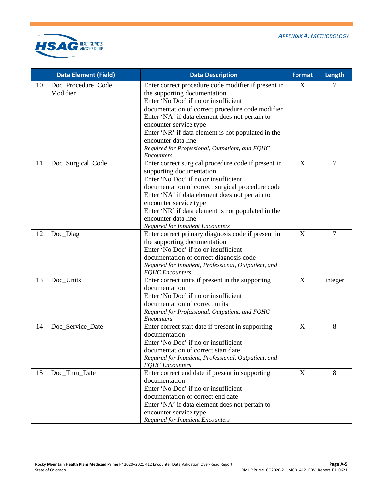

|    | <b>Data Element (Field)</b>     | <b>Data Description</b>                                                                                                                                                                                                                                                                                                                                                                                   | <b>Format</b>             | Length         |
|----|---------------------------------|-----------------------------------------------------------------------------------------------------------------------------------------------------------------------------------------------------------------------------------------------------------------------------------------------------------------------------------------------------------------------------------------------------------|---------------------------|----------------|
| 10 | Doc_Procedure_Code_<br>Modifier | Enter correct procedure code modifier if present in<br>the supporting documentation<br>Enter 'No Doc' if no or insufficient<br>documentation of correct procedure code modifier<br>Enter 'NA' if data element does not pertain to<br>encounter service type<br>Enter 'NR' if data element is not populated in the<br>encounter data line<br>Required for Professional, Outpatient, and FQHC<br>Encounters | X                         | 7              |
| 11 | Doc_Surgical_Code               | Enter correct surgical procedure code if present in<br>supporting documentation<br>Enter 'No Doc' if no or insufficient<br>documentation of correct surgical procedure code<br>Enter 'NA' if data element does not pertain to<br>encounter service type<br>Enter 'NR' if data element is not populated in the<br>encounter data line<br><b>Required for Inpatient Encounters</b>                          | $\boldsymbol{\mathrm{X}}$ | $\overline{7}$ |
| 12 | Doc_Diag                        | Enter correct primary diagnosis code if present in<br>the supporting documentation<br>Enter 'No Doc' if no or insufficient<br>documentation of correct diagnosis code<br>Required for Inpatient, Professional, Outpatient, and<br><b>FQHC</b> Encounters                                                                                                                                                  | X                         | $\overline{7}$ |
| 13 | Doc_Units                       | Enter correct units if present in the supporting<br>documentation<br>Enter 'No Doc' if no or insufficient<br>documentation of correct units<br>Required for Professional, Outpatient, and FQHC<br>Encounters                                                                                                                                                                                              | X                         | integer        |
| 14 | Doc_Service_Date                | Enter correct start date if present in supporting<br>documentation<br>Enter 'No Doc' if no or insufficient<br>documentation of correct start date<br>Required for Inpatient, Professional, Outpatient, and<br><b>FQHC</b> Encounters                                                                                                                                                                      | $\boldsymbol{X}$          | 8              |
| 15 | Doc_Thru_Date                   | Enter correct end date if present in supporting<br>documentation<br>Enter 'No Doc' if no or insufficient<br>documentation of correct end date<br>Enter 'NA' if data element does not pertain to<br>encounter service type<br><b>Required for Inpatient Encounters</b>                                                                                                                                     | $\mathbf X$               | 8              |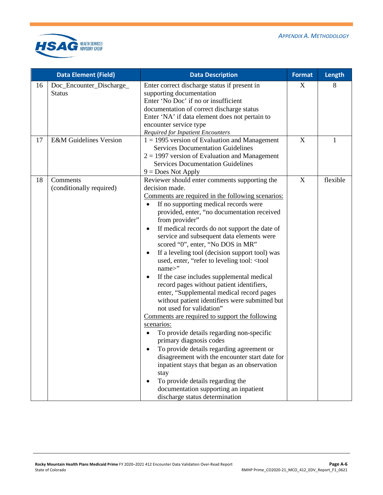

| <b>Data Element (Field)</b> |                                           | <b>Data Description</b>                                                                                                                                                                                                                                                                                                                                                                                                                                                                                                                                                                                                                                                                                                                                                                                                                                                                                                                                                                                                                                                                                                                                 | <b>Format</b>             | Length       |
|-----------------------------|-------------------------------------------|---------------------------------------------------------------------------------------------------------------------------------------------------------------------------------------------------------------------------------------------------------------------------------------------------------------------------------------------------------------------------------------------------------------------------------------------------------------------------------------------------------------------------------------------------------------------------------------------------------------------------------------------------------------------------------------------------------------------------------------------------------------------------------------------------------------------------------------------------------------------------------------------------------------------------------------------------------------------------------------------------------------------------------------------------------------------------------------------------------------------------------------------------------|---------------------------|--------------|
| 16                          | Doc_Encounter_Discharge_<br><b>Status</b> | Enter correct discharge status if present in<br>supporting documentation<br>Enter 'No Doc' if no or insufficient<br>documentation of correct discharge status<br>Enter 'NA' if data element does not pertain to<br>encounter service type<br><b>Required for Inpatient Encounters</b>                                                                                                                                                                                                                                                                                                                                                                                                                                                                                                                                                                                                                                                                                                                                                                                                                                                                   | X                         | 8            |
| 17                          | <b>E&amp;M</b> Guidelines Version         | $1 = 1995$ version of Evaluation and Management<br><b>Services Documentation Guidelines</b><br>$2 = 1997$ version of Evaluation and Management<br><b>Services Documentation Guidelines</b><br>$9 = Does Not Apply$                                                                                                                                                                                                                                                                                                                                                                                                                                                                                                                                                                                                                                                                                                                                                                                                                                                                                                                                      | X                         | $\mathbf{1}$ |
| 18                          | Comments<br>(conditionally required)      | Reviewer should enter comments supporting the<br>decision made.<br>Comments are required in the following scenarios:<br>If no supporting medical records were<br>$\bullet$<br>provided, enter, "no documentation received<br>from provider"<br>If medical records do not support the date of<br>$\bullet$<br>service and subsequent data elements were<br>scored "0", enter, "No DOS in MR"<br>If a leveling tool (decision support tool) was<br>used, enter, "refer to leveling tool: < tool<br>name>"<br>If the case includes supplemental medical<br>$\bullet$<br>record pages without patient identifiers,<br>enter, "Supplemental medical record pages<br>without patient identifiers were submitted but<br>not used for validation"<br>Comments are required to support the following<br>scenarios:<br>To provide details regarding non-specific<br>primary diagnosis codes<br>To provide details regarding agreement or<br>disagreement with the encounter start date for<br>inpatient stays that began as an observation<br>stay<br>To provide details regarding the<br>documentation supporting an inpatient<br>discharge status determination | $\boldsymbol{\mathrm{X}}$ | flexible     |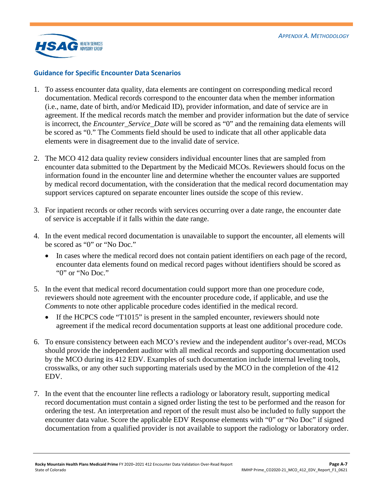

#### **Guidance for Specific Encounter Data Scenarios**

- 1. To assess encounter data quality, data elements are contingent on corresponding medical record documentation. Medical records correspond to the encounter data when the member information (i.e., name, date of birth, and/or Medicaid ID), provider information, and date of service are in agreement. If the medical records match the member and provider information but the date of service is incorrect, the *Encounter\_Service\_Date* will be scored as "0" and the remaining data elements will be scored as "0." The Comments field should be used to indicate that all other applicable data elements were in disagreement due to the invalid date of service.
- 2. The MCO 412 data quality review considers individual encounter lines that are sampled from encounter data submitted to the Department by the Medicaid MCOs. Reviewers should focus on the information found in the encounter line and determine whether the encounter values are supported by medical record documentation, with the consideration that the medical record documentation may support services captured on separate encounter lines outside the scope of this review.
- 3. For inpatient records or other records with services occurring over a date range, the encounter date of service is acceptable if it falls within the date range.
- 4. In the event medical record documentation is unavailable to support the encounter, all elements will be scored as "0" or "No Doc."
	- In cases where the medical record does not contain patient identifiers on each page of the record, encounter data elements found on medical record pages without identifiers should be scored as "0" or "No Doc."
- 5. In the event that medical record documentation could support more than one procedure code, reviewers should note agreement with the encounter procedure code, if applicable, and use the *Comments* to note other applicable procedure codes identified in the medical record.
	- If the HCPCS code "T1015" is present in the sampled encounter, reviewers should note agreement if the medical record documentation supports at least one additional procedure code.
- 6. To ensure consistency between each MCO's review and the independent auditor's over-read, MCOs should provide the independent auditor with all medical records and supporting documentation used by the MCO during its 412 EDV. Examples of such documentation include internal leveling tools, crosswalks, or any other such supporting materials used by the MCO in the completion of the 412 EDV.
- 7. In the event that the encounter line reflects a radiology or laboratory result, supporting medical record documentation must contain a signed order listing the test to be performed and the reason for ordering the test. An interpretation and report of the result must also be included to fully support the encounter data value. Score the applicable EDV Response elements with "0" or "No Doc" if signed documentation from a qualified provider is not available to support the radiology or laboratory order.